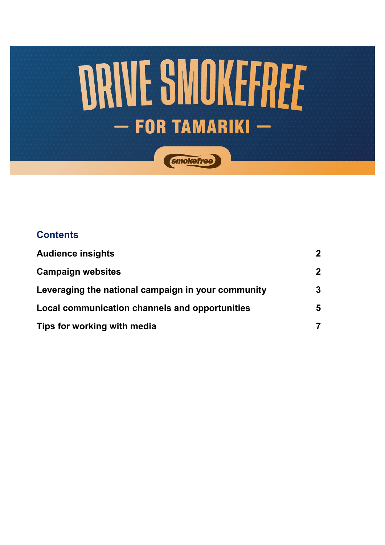

### **Contents**

| <b>Audience insights</b>                           | $\boldsymbol{2}$ |
|----------------------------------------------------|------------------|
| <b>Campaign websites</b>                           | $\overline{2}$   |
| Leveraging the national campaign in your community | 3                |
| Local communication channels and opportunities     |                  |
| Tips for working with media                        |                  |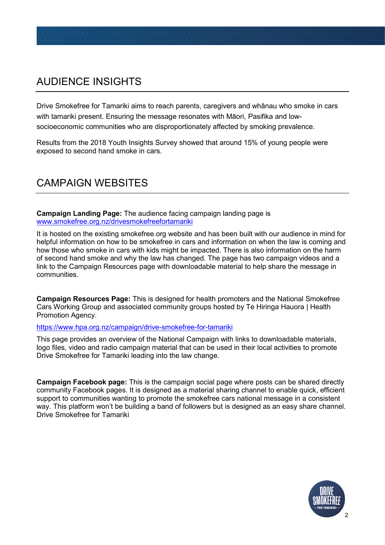# AUDIENCE INSIGHTS

Drive Smokefree for Tamariki aims to reach parents, caregivers and whānau who smoke in cars with tamariki present. Ensuring the message resonates with Māori, Pasifika and lowsocioeconomic communities who are disproportionately affected by smoking prevalence.

Results from the 2018 Youth Insights Survey showed that around 15% of young people were exposed to second hand smoke in cars.

## CAMPAIGN WEBSITES

**Campaign Landing Page:** The audience facing campaign landing page is [www.smokefree.org.nz/drivesmokefreefortamariki](http://www.smokefree.org.nz/drivesmokefreefortamariki) 

It is hosted on the existing smokefree.org website and has been built with our audience in mind for helpful information on how to be smokefree in cars and information on when the law is coming and how those who smoke in cars with kids might be impacted. There is also information on the harm of second hand smoke and why the law has changed. The page has two campaign videos and a link to the Campaign Resources page with downloadable material to help share the message in communities.

**Campaign Resources Page:** This is designed for health promoters and the National Smokefree Cars Working Group and associated community groups hosted by Te Hiringa Hauora | Health Promotion Agency.

#### <https://www.hpa.org.nz/campaign/drive-smokefree-for-tamariki>

This page provides an overview of the National Campaign with links to downloadable materials, logo files, video and radio campaign material that can be used in their local activities to promote Drive Smokefree for Tamariki leading into the law change.

**Campaign Facebook page:** This is the campaign social page where posts can be shared directly community Facebook pages. It is designed as a material sharing channel to enable quick, efficient support to communities wanting to promote the smokefree cars national message in a consistent way. This platform won't be building a band of followers but is designed as an easy share channel. Drive Smokefree for Tamariki

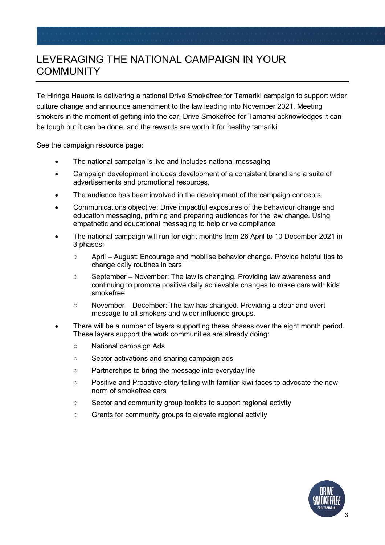## LEVERAGING THE NATIONAL CAMPAIGN IN YOUR COMMUNITY

Te Hiringa Hauora is delivering a national Drive Smokefree for Tamariki campaign to support wider culture change and announce amendment to the law leading into November 2021. Meeting smokers in the moment of getting into the car, Drive Smokefree for Tamariki acknowledges it can be tough but it can be done, and the rewards are worth it for healthy tamariki.

See the campaign resource page:

- The national campaign is live and includes national messaging
- Campaign development includes development of a consistent brand and a suite of advertisements and promotional resources.
- The audience has been involved in the development of the campaign concepts.
- Communications objective: Drive impactful exposures of the behaviour change and education messaging, priming and preparing audiences for the law change. Using empathetic and educational messaging to help drive compliance
- The national campaign will run for eight months from 26 April to 10 December 2021 in 3 phases:
	- April August: Encourage and mobilise behavior change. Provide helpful tips to change daily routines in cars
	- September November: The law is changing. Providing law awareness and continuing to promote positive daily achievable changes to make cars with kids smokefree
	- November December: The law has changed. Providing a clear and overt message to all smokers and wider influence groups.
- There will be a number of layers supporting these phases over the eight month period. These layers support the work communities are already doing:
	- National campaign Ads
	- Sector activations and sharing campaign ads
	- Partnerships to bring the message into everyday life
	- Positive and Proactive story telling with familiar kiwi faces to advocate the new norm of smokefree cars
	- Sector and community group toolkits to support regional activity
	- Grants for community groups to elevate regional activity

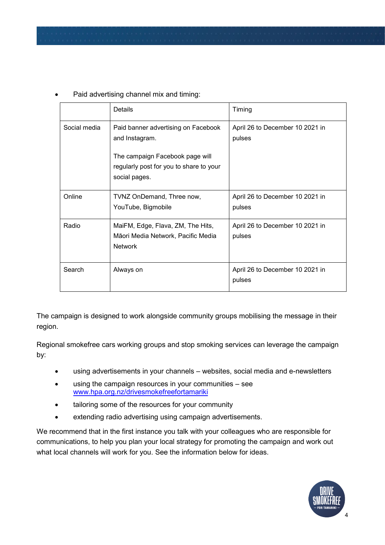|              | Details                                                                                                                                              | Timing                                    |
|--------------|------------------------------------------------------------------------------------------------------------------------------------------------------|-------------------------------------------|
| Social media | Paid banner advertising on Facebook<br>and Instagram.<br>The campaign Facebook page will<br>regularly post for you to share to your<br>social pages. | April 26 to December 10 2021 in<br>pulses |
| Online       | TVNZ OnDemand, Three now,<br>YouTube, Bigmobile                                                                                                      | April 26 to December 10 2021 in<br>pulses |
| Radio        | MaiFM, Edge, Flava, ZM, The Hits,<br>Māori Media Network, Pacific Media<br><b>Network</b>                                                            | April 26 to December 10 2021 in<br>pulses |
| Search       | Always on                                                                                                                                            | April 26 to December 10 2021 in<br>pulses |

Paid advertising channel mix and timing:

The campaign is designed to work alongside community groups mobilising the message in their region.

Regional smokefree cars working groups and stop smoking services can leverage the campaign by:

- using advertisements in your channels websites, social media and e-newsletters
- using the campaign resources in your communities see [www.hpa.org.nz/drivesmokefreefortamariki](http://www.hpa.org.nz/drivesmokefreefortamariki)
- tailoring some of the resources for your community
- extending radio advertising using campaign advertisements.

We recommend that in the first instance you talk with your colleagues who are responsible for communications, to help you plan your local strategy for promoting the campaign and work out what local channels will work for you. See the information below for ideas.

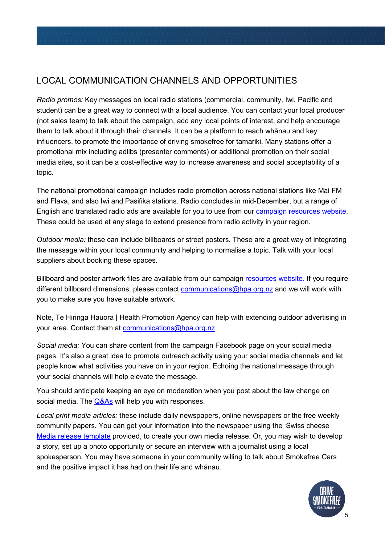#### LOCAL COMMUNICATION CHANNELS AND OPPORTUNITIES

*Radio promos:* Key messages on local radio stations (commercial, community, Iwi, Pacific and student) can be a great way to connect with a local audience. You can contact your local producer (not sales team) to talk about the campaign, add any local points of interest, and help encourage them to talk about it through their channels. It can be a platform to reach whānau and key influencers, to promote the importance of driving smokefree for tamariki. Many stations offer a promotional mix including adlibs (presenter comments) or additional promotion on their social media sites, so it can be a cost-effective way to increase awareness and social acceptability of a topic.

The national promotional campaign includes radio promotion across national stations like Mai FM and Flava, and also Iwi and Pasifika stations. Radio concludes in mid-December, but a range of English and translated radio ads are available for you to use from our campaign [resources website](https://www.hpa.org.nz/campaign/drive-smokefree-for-tamariki). These could be used at any stage to extend presence from radio activity in your region.

*Outdoor media:* these can include billboards or street posters. These are a great way of integrating the message within your local community and helping to normalise a topic. Talk with your local suppliers about booking these spaces.

Billboard and poster artwork files are available from our campaign [resources website.](https://www.hpa.org.nz/drive-smokefree-for-tamariki-resources) If you require different billboard dimensions, please contact communications@hpa.org.nz and we will work with you to make sure you have suitable artwork.

Note, Te Hiringa Hauora | Health Promotion Agency can help with extending outdoor advertising in your area. Contact them at [communications@hpa.org.nz](mailto:communications@hpa.org.nz)

*Social media:* You can share content from the campaign Facebook page on your social media pages. It's also a great idea to promote outreach activity using your social media channels and let people know what activities you have on in your region. Echoing the national message through your social channels will help elevate the message.

You should anticipate keeping an eye on moderation when you post about the law change on social media. The [Q&As](https://www.hpa.org.nz/drive-smokefree-for-tamariki-resources) will help you with responses.

*Local print media articles:* these include daily newspapers, online newspapers or the free weekly community papers. You can get your information into the newspaper using the 'Swiss cheese [Media release template](https://www.hpa.org.nz/drive-smokefree-for-tamariki-resources) provided, to create your own media release. Or, you may wish to develop a story, set up a photo opportunity or secure an interview with a journalist using a local spokesperson. You may have someone in your community willing to talk about Smokefree Cars and the positive impact it has had on their life and whānau.

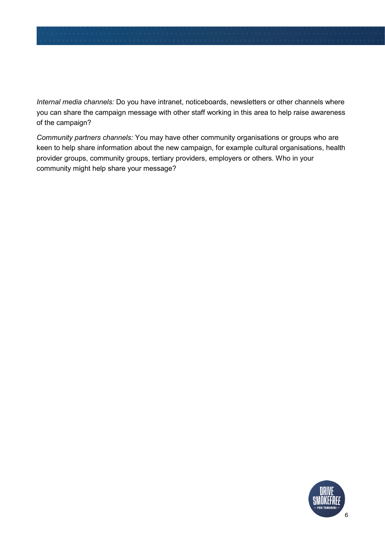*Internal media channels:* Do you have intranet, noticeboards, newsletters or other channels where you can share the campaign message with other staff working in this area to help raise awareness of the campaign?

*Community partners channels:* You may have other community organisations or groups who are keen to help share information about the new campaign, for example cultural organisations, health provider groups, community groups, tertiary providers, employers or others. Who in your community might help share your message?

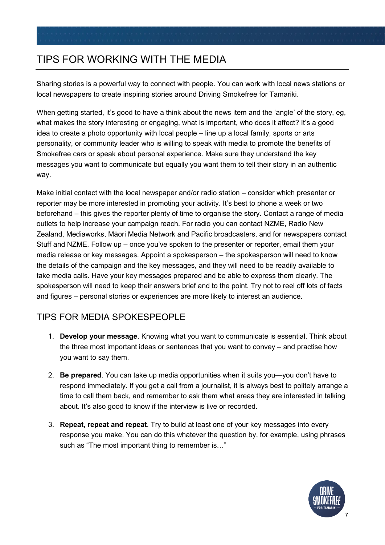## TIPS FOR WORKING WITH THE MEDIA

Sharing stories is a powerful way to connect with people. You can work with local news stations or local newspapers to create inspiring stories around Driving Smokefree for Tamariki.

When getting started, it's good to have a think about the news item and the 'angle' of the story, eg, what makes the story interesting or engaging, what is important, who does it affect? It's a good idea to create a photo opportunity with local people – line up a local family, sports or arts personality, or community leader who is willing to speak with media to promote the benefits of Smokefree cars or speak about personal experience. Make sure they understand the key messages you want to communicate but equally you want them to tell their story in an authentic way.

Make initial contact with the local newspaper and/or radio station – consider which presenter or reporter may be more interested in promoting your activity. It's best to phone a week or two beforehand – this gives the reporter plenty of time to organise the story. Contact a range of media outlets to help increase your campaign reach. For radio you can contact NZME, Radio New Zealand, Mediaworks, Māori Media Network and Pacific broadcasters, and for newspapers contact Stuff and NZME. Follow up – once you've spoken to the presenter or reporter, email them your media release or key messages. Appoint a spokesperson – the spokesperson will need to know the details of the campaign and the key messages, and they will need to be readily available to take media calls. Have your key messages prepared and be able to express them clearly. The spokesperson will need to keep their answers brief and to the point. Try not to reel off lots of facts and figures – personal stories or experiences are more likely to interest an audience.

### TIPS FOR MEDIA SPOKESPEOPLE

- 1. **Develop your message**. Knowing what you want to communicate is essential. Think about the three most important ideas or sentences that you want to convey – and practise how you want to say them.
- 2. **Be prepared**. You can take up media opportunities when it suits you—you don't have to respond immediately. If you get a call from a journalist, it is always best to politely arrange a time to call them back, and remember to ask them what areas they are interested in talking about. It's also good to know if the interview is live or recorded.
- 3. **Repeat, repeat and repeat**. Try to build at least one of your key messages into every response you make. You can do this whatever the question by, for example, using phrases such as "The most important thing to remember is…"